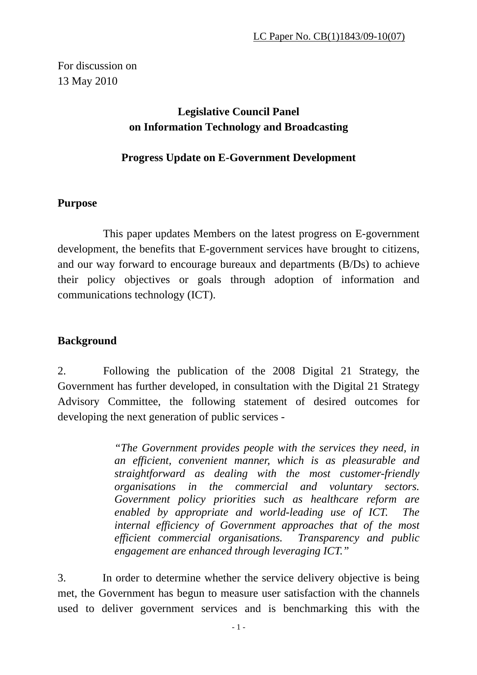For discussion on 13 May 2010

## **Legislative Council Panel on Information Technology and Broadcasting**

#### **Progress Update on E-Government Development**

#### **Purpose**

 This paper updates Members on the latest progress on E-government development, the benefits that E-government services have brought to citizens, and our way forward to encourage bureaux and departments (B/Ds) to achieve their policy objectives or goals through adoption of information and communications technology (ICT).

#### **Background**

2. Following the publication of the 2008 Digital 21 Strategy, the Government has further developed, in consultation with the Digital 21 Strategy Advisory Committee, the following statement of desired outcomes for developing the next generation of public services -

> *"The Government provides people with the services they need, in an efficient, convenient manner, which is as pleasurable and straightforward as dealing with the most customer-friendly organisations in the commercial and voluntary sectors. Government policy priorities such as healthcare reform are enabled by appropriate and world-leading use of ICT. The internal efficiency of Government approaches that of the most efficient commercial organisations. Transparency and public engagement are enhanced through leveraging ICT."*

3. In order to determine whether the service delivery objective is being met, the Government has begun to measure user satisfaction with the channels used to deliver government services and is benchmarking this with the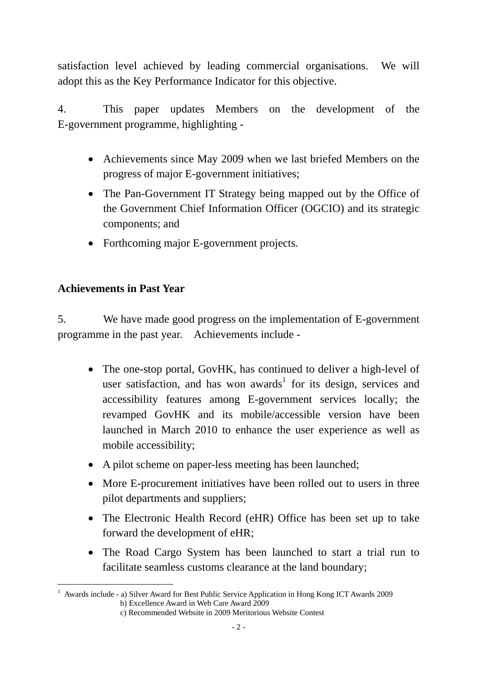satisfaction level achieved by leading commercial organisations. We will adopt this as the Key Performance Indicator for this objective.

4. This paper updates Members on the development of the E-government programme, highlighting -

- Achievements since May 2009 when we last briefed Members on the progress of major E-government initiatives;
- The Pan-Government IT Strategy being mapped out by the Office of the Government Chief Information Officer (OGCIO) and its strategic components; and
- Forthcoming major E-government projects.

### **Achievements in Past Year**

 $\overline{a}$ 

5. We have made good progress on the implementation of E-government programme in the past year. Achievements include -

- The one-stop portal, GovHK, has continued to deliver a high-level of user satisfaction, and has won awards<sup>1</sup> for its design, services and accessibility features among E-government services locally; the revamped GovHK and its mobile/accessible version have been launched in March 2010 to enhance the user experience as well as mobile accessibility;
- A pilot scheme on paper-less meeting has been launched;
- More E-procurement initiatives have been rolled out to users in three pilot departments and suppliers;
- The Electronic Health Record (eHR) Office has been set up to take forward the development of eHR;
- The Road Cargo System has been launched to start a trial run to facilitate seamless customs clearance at the land boundary;

<sup>&</sup>lt;sup>1</sup> Awards include - a) Silver Award for Best Public Service Application in Hong Kong ICT Awards 2009 b) Excellence Award in Web Care Award 2009

c) Recommended Website in 2009 Meritorious Website Contest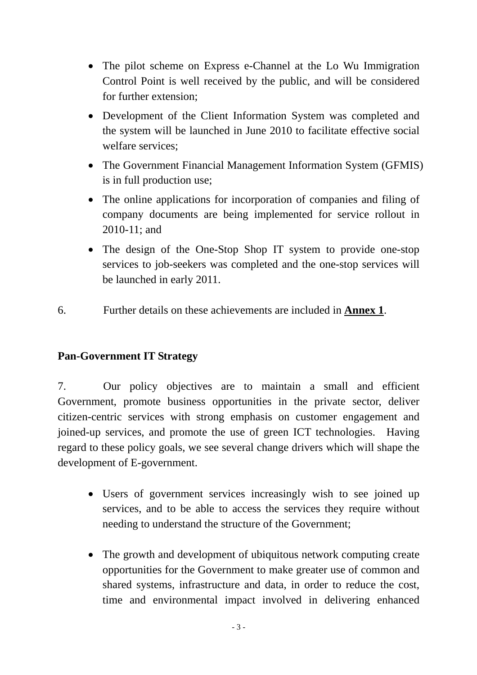- The pilot scheme on Express e-Channel at the Lo Wu Immigration Control Point is well received by the public, and will be considered for further extension;
- Development of the Client Information System was completed and the system will be launched in June 2010 to facilitate effective social welfare services;
- The Government Financial Management Information System (GFMIS) is in full production use;
- The online applications for incorporation of companies and filing of company documents are being implemented for service rollout in 2010-11; and
- The design of the One-Stop Shop IT system to provide one-stop services to job-seekers was completed and the one-stop services will be launched in early 2011.
- 6. Further details on these achievements are included in **Annex 1**.

### **Pan-Government IT Strategy**

7. Our policy objectives are to maintain a small and efficient Government, promote business opportunities in the private sector, deliver citizen-centric services with strong emphasis on customer engagement and joined-up services, and promote the use of green ICT technologies. Having regard to these policy goals, we see several change drivers which will shape the development of E-government.

- Users of government services increasingly wish to see joined up services, and to be able to access the services they require without needing to understand the structure of the Government;
- The growth and development of ubiquitous network computing create opportunities for the Government to make greater use of common and shared systems, infrastructure and data, in order to reduce the cost, time and environmental impact involved in delivering enhanced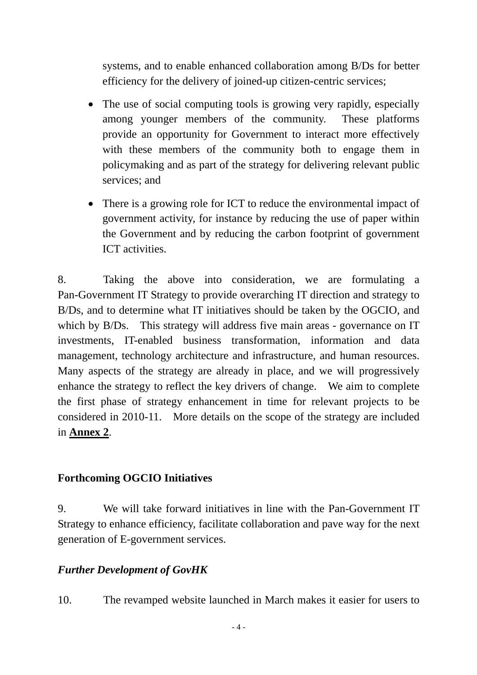systems, and to enable enhanced collaboration among B/Ds for better efficiency for the delivery of joined-up citizen-centric services;

- The use of social computing tools is growing very rapidly, especially among younger members of the community. These platforms provide an opportunity for Government to interact more effectively with these members of the community both to engage them in policymaking and as part of the strategy for delivering relevant public services; and
- There is a growing role for ICT to reduce the environmental impact of government activity, for instance by reducing the use of paper within the Government and by reducing the carbon footprint of government ICT activities.

8. Taking the above into consideration, we are formulating a Pan-Government IT Strategy to provide overarching IT direction and strategy to B/Ds, and to determine what IT initiatives should be taken by the OGCIO, and which by B/Ds. This strategy will address five main areas - governance on IT investments, IT-enabled business transformation, information and data management, technology architecture and infrastructure, and human resources. Many aspects of the strategy are already in place, and we will progressively enhance the strategy to reflect the key drivers of change. We aim to complete the first phase of strategy enhancement in time for relevant projects to be considered in 2010-11. More details on the scope of the strategy are included in **Annex 2**.

### **Forthcoming OGCIO Initiatives**

9. We will take forward initiatives in line with the Pan-Government IT Strategy to enhance efficiency, facilitate collaboration and pave way for the next generation of E-government services.

### *Further Development of GovHK*

10. The revamped website launched in March makes it easier for users to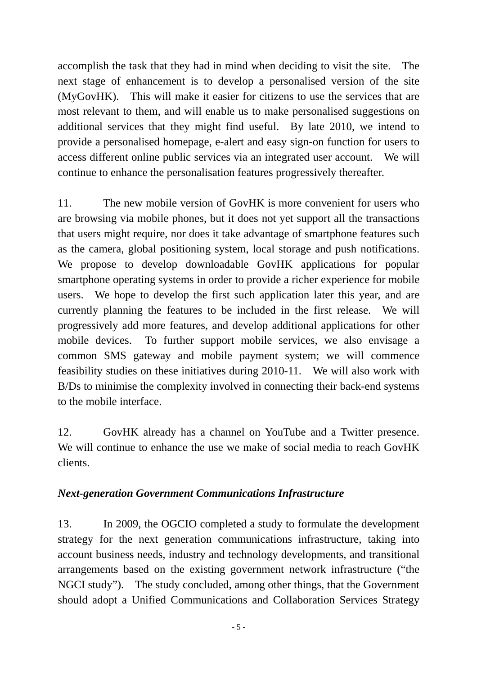accomplish the task that they had in mind when deciding to visit the site. The next stage of enhancement is to develop a personalised version of the site (MyGovHK). This will make it easier for citizens to use the services that are most relevant to them, and will enable us to make personalised suggestions on additional services that they might find useful. By late 2010, we intend to provide a personalised homepage, e-alert and easy sign-on function for users to access different online public services via an integrated user account. We will continue to enhance the personalisation features progressively thereafter.

11. The new mobile version of GovHK is more convenient for users who are browsing via mobile phones, but it does not yet support all the transactions that users might require, nor does it take advantage of smartphone features such as the camera, global positioning system, local storage and push notifications. We propose to develop downloadable GovHK applications for popular smartphone operating systems in order to provide a richer experience for mobile users. We hope to develop the first such application later this year, and are currently planning the features to be included in the first release. We will progressively add more features, and develop additional applications for other mobile devices. To further support mobile services, we also envisage a common SMS gateway and mobile payment system; we will commence feasibility studies on these initiatives during 2010-11. We will also work with B/Ds to minimise the complexity involved in connecting their back-end systems to the mobile interface.

12. GovHK already has a channel on YouTube and a Twitter presence. We will continue to enhance the use we make of social media to reach GovHK clients.

### *Next-generation Government Communications Infrastructure*

13. In 2009, the OGCIO completed a study to formulate the development strategy for the next generation communications infrastructure, taking into account business needs, industry and technology developments, and transitional arrangements based on the existing government network infrastructure ("the NGCI study"). The study concluded, among other things, that the Government should adopt a Unified Communications and Collaboration Services Strategy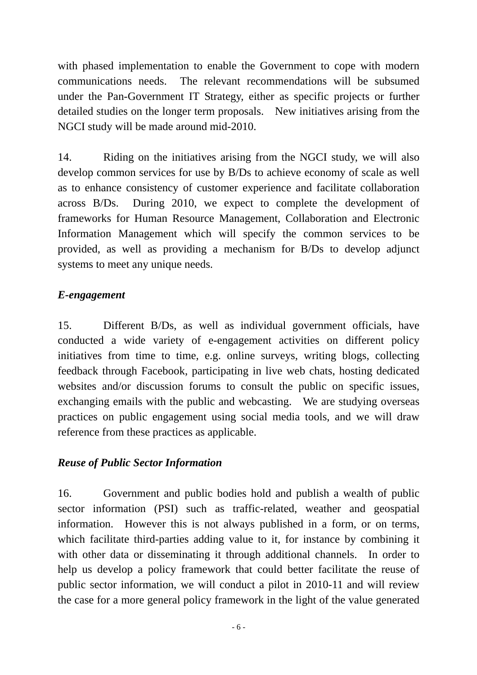with phased implementation to enable the Government to cope with modern communications needs. The relevant recommendations will be subsumed under the Pan-Government IT Strategy, either as specific projects or further detailed studies on the longer term proposals. New initiatives arising from the NGCI study will be made around mid-2010.

14. Riding on the initiatives arising from the NGCI study, we will also develop common services for use by B/Ds to achieve economy of scale as well as to enhance consistency of customer experience and facilitate collaboration across B/Ds. During 2010, we expect to complete the development of frameworks for Human Resource Management, Collaboration and Electronic Information Management which will specify the common services to be provided, as well as providing a mechanism for B/Ds to develop adjunct systems to meet any unique needs.

### *E-engagement*

15. Different B/Ds, as well as individual government officials, have conducted a wide variety of e-engagement activities on different policy initiatives from time to time, e.g. online surveys, writing blogs, collecting feedback through Facebook, participating in live web chats, hosting dedicated websites and/or discussion forums to consult the public on specific issues, exchanging emails with the public and webcasting. We are studying overseas practices on public engagement using social media tools, and we will draw reference from these practices as applicable.

### *Reuse of Public Sector Information*

16. Government and public bodies hold and publish a wealth of public sector information (PSI) such as traffic-related, weather and geospatial information. However this is not always published in a form, or on terms, which facilitate third-parties adding value to it, for instance by combining it with other data or disseminating it through additional channels. In order to help us develop a policy framework that could better facilitate the reuse of public sector information, we will conduct a pilot in 2010-11 and will review the case for a more general policy framework in the light of the value generated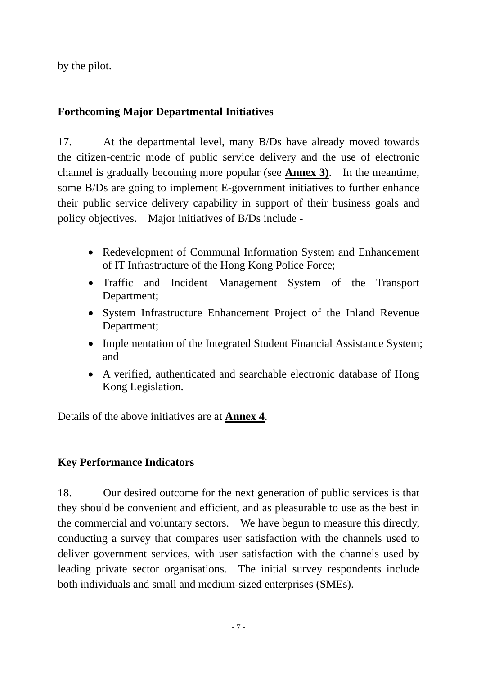by the pilot.

## **Forthcoming Major Departmental Initiatives**

17. At the departmental level, many B/Ds have already moved towards the citizen-centric mode of public service delivery and the use of electronic channel is gradually becoming more popular (see **Annex 3)**. In the meantime, some B/Ds are going to implement E-government initiatives to further enhance their public service delivery capability in support of their business goals and policy objectives. Major initiatives of B/Ds include -

- Redevelopment of Communal Information System and Enhancement of IT Infrastructure of the Hong Kong Police Force;
- Traffic and Incident Management System of the Transport Department;
- System Infrastructure Enhancement Project of the Inland Revenue Department;
- Implementation of the Integrated Student Financial Assistance System; and
- A verified, authenticated and searchable electronic database of Hong Kong Legislation.

Details of the above initiatives are at **Annex 4**.

### **Key Performance Indicators**

18. Our desired outcome for the next generation of public services is that they should be convenient and efficient, and as pleasurable to use as the best in the commercial and voluntary sectors. We have begun to measure this directly, conducting a survey that compares user satisfaction with the channels used to deliver government services, with user satisfaction with the channels used by leading private sector organisations. The initial survey respondents include both individuals and small and medium-sized enterprises (SMEs).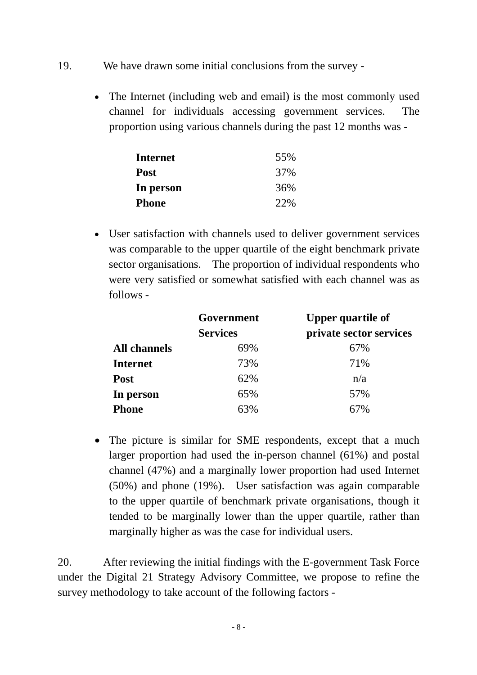- 19. We have drawn some initial conclusions from the survey
	- The Internet (including web and email) is the most commonly used channel for individuals accessing government services. The proportion using various channels during the past 12 months was -

| <b>Internet</b> | 55% |
|-----------------|-----|
| <b>Post</b>     | 37% |
| In person       | 36% |
| <b>Phone</b>    | 22% |

• User satisfaction with channels used to deliver government services was comparable to the upper quartile of the eight benchmark private sector organisations. The proportion of individual respondents who were very satisfied or somewhat satisfied with each channel was as follows -

|                     | Government      | <b>Upper quartile of</b> |  |
|---------------------|-----------------|--------------------------|--|
|                     | <b>Services</b> | private sector services  |  |
| <b>All channels</b> | 69%             | 67%                      |  |
| <b>Internet</b>     | 73%             | 71%                      |  |
| <b>Post</b>         | 62%             | n/a                      |  |
| In person           | 65%             | 57%                      |  |
| <b>Phone</b>        | 63%             | 67%                      |  |

• The picture is similar for SME respondents, except that a much larger proportion had used the in-person channel (61%) and postal channel (47%) and a marginally lower proportion had used Internet (50%) and phone (19%). User satisfaction was again comparable to the upper quartile of benchmark private organisations, though it tended to be marginally lower than the upper quartile, rather than marginally higher as was the case for individual users.

20. After reviewing the initial findings with the E-government Task Force under the Digital 21 Strategy Advisory Committee, we propose to refine the survey methodology to take account of the following factors -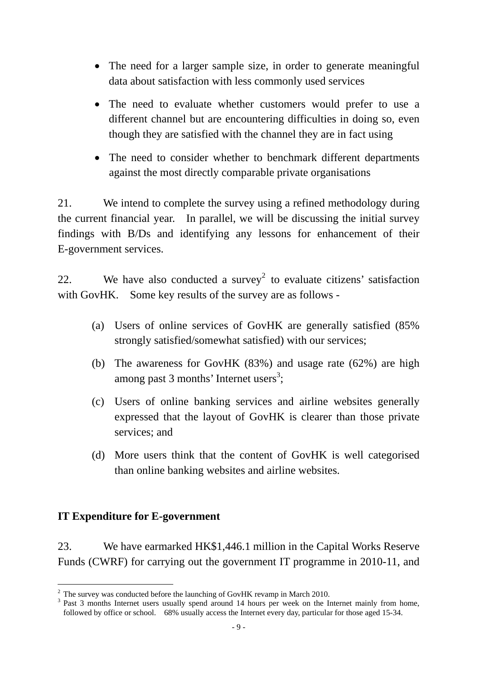- The need for a larger sample size, in order to generate meaningful data about satisfaction with less commonly used services
- The need to evaluate whether customers would prefer to use a different channel but are encountering difficulties in doing so, even though they are satisfied with the channel they are in fact using
- The need to consider whether to benchmark different departments against the most directly comparable private organisations

21. We intend to complete the survey using a refined methodology during the current financial year. In parallel, we will be discussing the initial survey findings with B/Ds and identifying any lessons for enhancement of their E-government services.

22. We have also conducted a survey<sup>2</sup> to evaluate citizens' satisfaction with GovHK. Some key results of the survey are as follows -

- (a) Users of online services of GovHK are generally satisfied (85% strongly satisfied/somewhat satisfied) with our services;
- (b) The awareness for GovHK (83%) and usage rate (62%) are high among past 3 months' Internet users<sup>3</sup>;
- (c) Users of online banking services and airline websites generally expressed that the layout of GovHK is clearer than those private services; and
- (d) More users think that the content of GovHK is well categorised than online banking websites and airline websites.

### **IT Expenditure for E-government**

23. We have earmarked HK\$1,446.1 million in the Capital Works Reserve Funds (CWRF) for carrying out the government IT programme in 2010-11, and

<sup>&</sup>lt;sup>2</sup> The survey was conducted before the launching of GovHK revamp in March 2010.

<sup>&</sup>lt;sup>3</sup> Past 3 months Internet users usually spend around 14 hours per week on the Internet mainly from home, followed by office or school. 68% usually access the Internet every day, particular for those aged 15-34.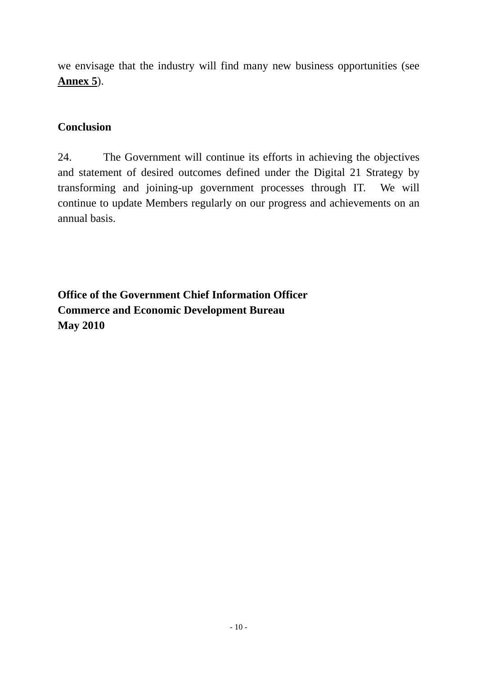we envisage that the industry will find many new business opportunities (see **Annex 5**).

### **Conclusion**

24. The Government will continue its efforts in achieving the objectives and statement of desired outcomes defined under the Digital 21 Strategy by transforming and joining-up government processes through IT. We will continue to update Members regularly on our progress and achievements on an annual basis.

**Office of the Government Chief Information Officer Commerce and Economic Development Bureau May 2010**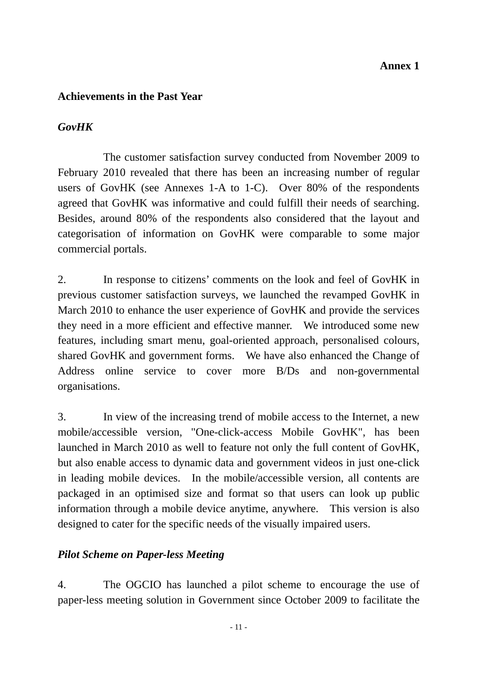#### **Annex 1**

#### **Achievements in the Past Year**

### *GovHK*

 The customer satisfaction survey conducted from November 2009 to February 2010 revealed that there has been an increasing number of regular users of GovHK (see Annexes 1-A to 1-C). Over 80% of the respondents agreed that GovHK was informative and could fulfill their needs of searching. Besides, around 80% of the respondents also considered that the layout and categorisation of information on GovHK were comparable to some major commercial portals.

2. In response to citizens' comments on the look and feel of GovHK in previous customer satisfaction surveys, we launched the revamped GovHK in March 2010 to enhance the user experience of GovHK and provide the services they need in a more efficient and effective manner. We introduced some new features, including smart menu, goal-oriented approach, personalised colours, shared GovHK and government forms. We have also enhanced the Change of Address online service to cover more B/Ds and non-governmental organisations.

3. In view of the increasing trend of mobile access to the Internet, a new mobile/accessible version, "One-click-access Mobile GovHK", has been launched in March 2010 as well to feature not only the full content of GovHK, but also enable access to dynamic data and government videos in just one-click in leading mobile devices. In the mobile/accessible version, all contents are packaged in an optimised size and format so that users can look up public information through a mobile device anytime, anywhere. This version is also designed to cater for the specific needs of the visually impaired users.

### *Pilot Scheme on Paper-less Meeting*

4. The OGCIO has launched a pilot scheme to encourage the use of paper-less meeting solution in Government since October 2009 to facilitate the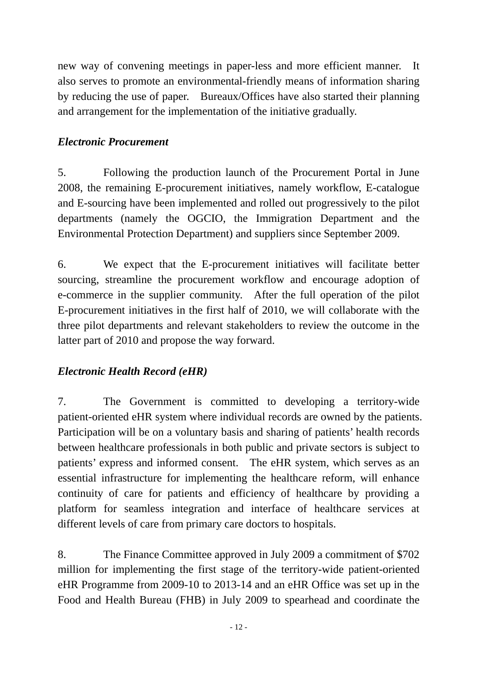new way of convening meetings in paper-less and more efficient manner. It also serves to promote an environmental-friendly means of information sharing by reducing the use of paper. Bureaux/Offices have also started their planning and arrangement for the implementation of the initiative gradually.

#### *Electronic Procurement*

5. Following the production launch of the Procurement Portal in June 2008, the remaining E-procurement initiatives, namely workflow, E-catalogue and E-sourcing have been implemented and rolled out progressively to the pilot departments (namely the OGCIO, the Immigration Department and the Environmental Protection Department) and suppliers since September 2009.

6. We expect that the E-procurement initiatives will facilitate better sourcing, streamline the procurement workflow and encourage adoption of e-commerce in the supplier community. After the full operation of the pilot E-procurement initiatives in the first half of 2010, we will collaborate with the three pilot departments and relevant stakeholders to review the outcome in the latter part of 2010 and propose the way forward.

### *Electronic Health Record (eHR)*

7. The Government is committed to developing a territory-wide patient-oriented eHR system where individual records are owned by the patients. Participation will be on a voluntary basis and sharing of patients' health records between healthcare professionals in both public and private sectors is subject to patients' express and informed consent. The eHR system, which serves as an essential infrastructure for implementing the healthcare reform, will enhance continuity of care for patients and efficiency of healthcare by providing a platform for seamless integration and interface of healthcare services at different levels of care from primary care doctors to hospitals.

8. The Finance Committee approved in July 2009 a commitment of \$702 million for implementing the first stage of the territory-wide patient-oriented eHR Programme from 2009-10 to 2013-14 and an eHR Office was set up in the Food and Health Bureau (FHB) in July 2009 to spearhead and coordinate the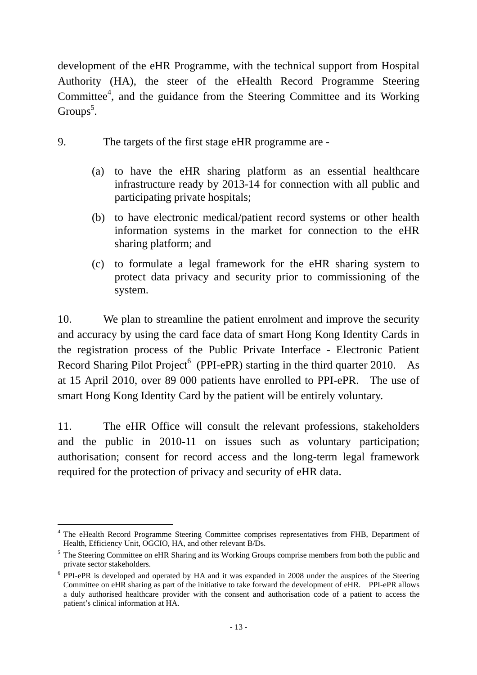development of the eHR Programme, with the technical support from Hospital Authority (HA), the steer of the eHealth Record Programme Steering Committee<sup>4</sup>, and the guidance from the Steering Committee and its Working Groups<sup>5</sup>.

- 9. The targets of the first stage eHR programme are
	- (a) to have the eHR sharing platform as an essential healthcare infrastructure ready by 2013-14 for connection with all public and participating private hospitals;
	- (b) to have electronic medical/patient record systems or other health information systems in the market for connection to the eHR sharing platform; and
	- (c) to formulate a legal framework for the eHR sharing system to protect data privacy and security prior to commissioning of the system.

10. We plan to streamline the patient enrolment and improve the security and accuracy by using the card face data of smart Hong Kong Identity Cards in the registration process of the Public Private Interface - Electronic Patient Record Sharing Pilot Project<sup>6</sup> (PPI-ePR) starting in the third quarter 2010. As at 15 April 2010, over 89 000 patients have enrolled to PPI-ePR. The use of smart Hong Kong Identity Card by the patient will be entirely voluntary.

11. The eHR Office will consult the relevant professions, stakeholders and the public in 2010-11 on issues such as voluntary participation; authorisation; consent for record access and the long-term legal framework required for the protection of privacy and security of eHR data.

l <sup>4</sup> The eHealth Record Programme Steering Committee comprises representatives from FHB, Department of Health, Efficiency Unit, OGCIO, HA, and other relevant B/Ds.

<sup>&</sup>lt;sup>5</sup> The Steering Committee on eHR Sharing and its Working Groups comprise members from both the public and private sector stakeholders.

<sup>&</sup>lt;sup>6</sup> PPI-ePR is developed and operated by HA and it was expanded in 2008 under the auspices of the Steering Committee on eHR sharing as part of the initiative to take forward the development of eHR. PPI-ePR allows a duly authorised healthcare provider with the consent and authorisation code of a patient to access the patient's clinical information at HA.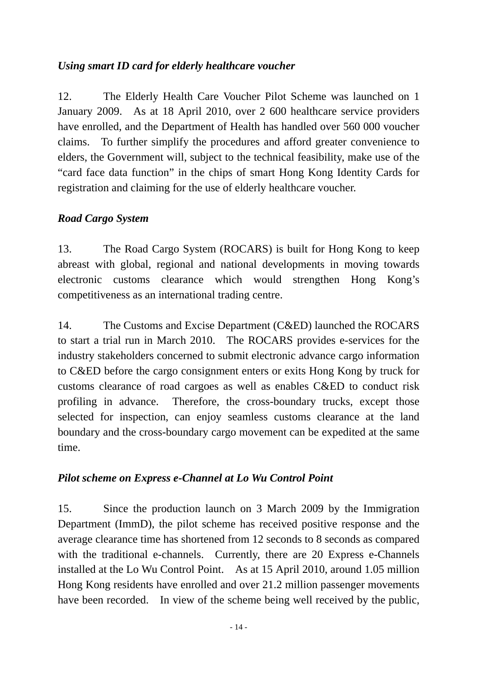### *Using smart ID card for elderly healthcare voucher*

12. The Elderly Health Care Voucher Pilot Scheme was launched on 1 January 2009. As at 18 April 2010, over 2 600 healthcare service providers have enrolled, and the Department of Health has handled over 560 000 voucher claims. To further simplify the procedures and afford greater convenience to elders, the Government will, subject to the technical feasibility, make use of the "card face data function" in the chips of smart Hong Kong Identity Cards for registration and claiming for the use of elderly healthcare voucher.

### *Road Cargo System*

13. The Road Cargo System (ROCARS) is built for Hong Kong to keep abreast with global, regional and national developments in moving towards electronic customs clearance which would strengthen Hong Kong's competitiveness as an international trading centre.

14. The Customs and Excise Department (C&ED) launched the ROCARS to start a trial run in March 2010. The ROCARS provides e-services for the industry stakeholders concerned to submit electronic advance cargo information to C&ED before the cargo consignment enters or exits Hong Kong by truck for customs clearance of road cargoes as well as enables C&ED to conduct risk profiling in advance. Therefore, the cross-boundary trucks, except those selected for inspection, can enjoy seamless customs clearance at the land boundary and the cross-boundary cargo movement can be expedited at the same time.

### *Pilot scheme on Express e-Channel at Lo Wu Control Point*

15. Since the production launch on 3 March 2009 by the Immigration Department (ImmD), the pilot scheme has received positive response and the average clearance time has shortened from 12 seconds to 8 seconds as compared with the traditional e-channels. Currently, there are 20 Express e-Channels installed at the Lo Wu Control Point. As at 15 April 2010, around 1.05 million Hong Kong residents have enrolled and over 21.2 million passenger movements have been recorded. In view of the scheme being well received by the public,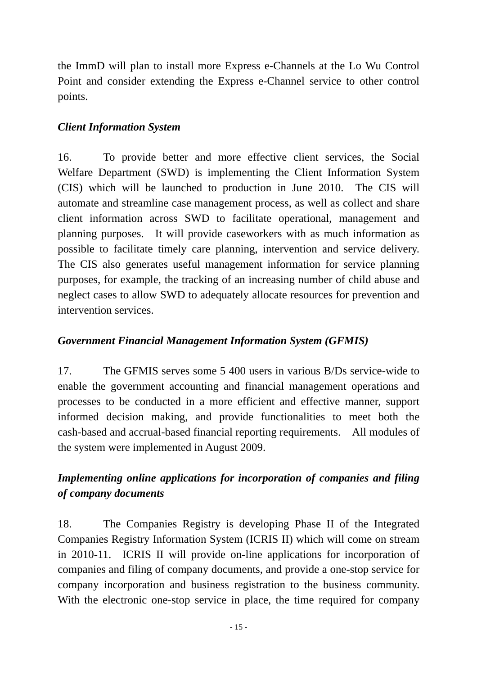the ImmD will plan to install more Express e-Channels at the Lo Wu Control Point and consider extending the Express e-Channel service to other control points.

#### *Client Information System*

16. To provide better and more effective client services, the Social Welfare Department (SWD) is implementing the Client Information System (CIS) which will be launched to production in June 2010. The CIS will automate and streamline case management process, as well as collect and share client information across SWD to facilitate operational, management and planning purposes. It will provide caseworkers with as much information as possible to facilitate timely care planning, intervention and service delivery. The CIS also generates useful management information for service planning purposes, for example, the tracking of an increasing number of child abuse and neglect cases to allow SWD to adequately allocate resources for prevention and intervention services.

### *Government Financial Management Information System (GFMIS)*

17. The GFMIS serves some 5 400 users in various B/Ds service-wide to enable the government accounting and financial management operations and processes to be conducted in a more efficient and effective manner, support informed decision making, and provide functionalities to meet both the cash-based and accrual-based financial reporting requirements. All modules of the system were implemented in August 2009.

## *Implementing online applications for incorporation of companies and filing of company documents*

18. The Companies Registry is developing Phase II of the Integrated Companies Registry Information System (ICRIS II) which will come on stream in 2010-11. ICRIS II will provide on-line applications for incorporation of companies and filing of company documents, and provide a one-stop service for company incorporation and business registration to the business community. With the electronic one-stop service in place, the time required for company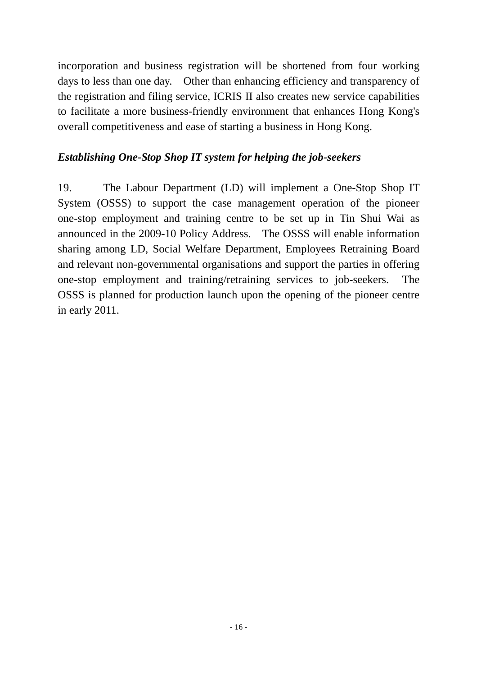incorporation and business registration will be shortened from four working days to less than one day. Other than enhancing efficiency and transparency of the registration and filing service, ICRIS II also creates new service capabilities to facilitate a more business-friendly environment that enhances Hong Kong's overall competitiveness and ease of starting a business in Hong Kong.

#### *Establishing One-Stop Shop IT system for helping the job-seekers*

19. The Labour Department (LD) will implement a One-Stop Shop IT System (OSSS) to support the case management operation of the pioneer one-stop employment and training centre to be set up in Tin Shui Wai as announced in the 2009-10 Policy Address. The OSSS will enable information sharing among LD, Social Welfare Department, Employees Retraining Board and relevant non-governmental organisations and support the parties in offering one-stop employment and training/retraining services to job-seekers. The OSSS is planned for production launch upon the opening of the pioneer centre in early 2011.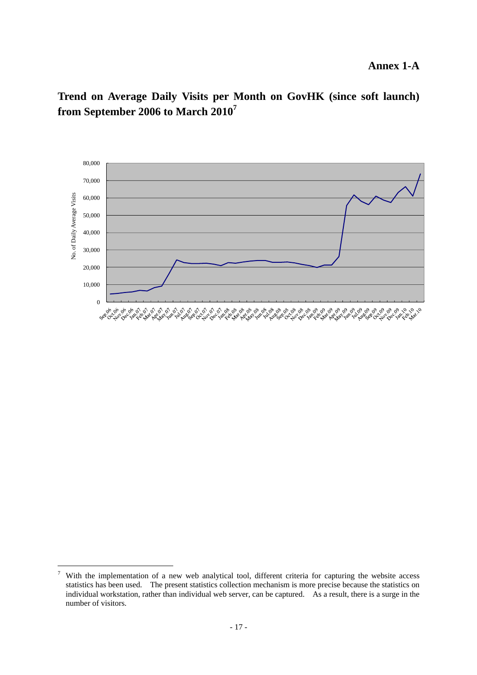**Trend on Average Daily Visits per Month on GovHK (since soft launch) from September 2006 to March 2010<sup>7</sup>** 



<sup>-&</sup>lt;br>7 With the implementation of a new web analytical tool, different criteria for capturing the website access statistics has been used. The present statistics collection mechanism is more precise because the statistics on individual workstation, rather than individual web server, can be captured. As a result, there is a surge in the number of visitors.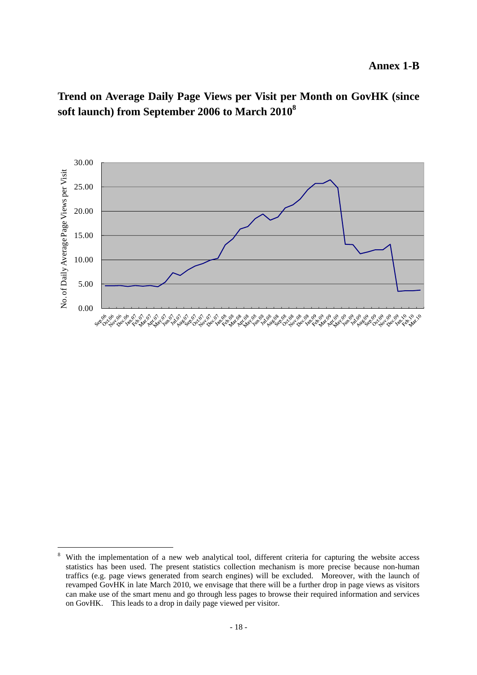**Trend on Average Daily Page Views per Visit per Month on GovHK (since soft launch) from September 2006 to March 20108** 



 $\overline{a}$ 

<sup>8</sup> With the implementation of a new web analytical tool, different criteria for capturing the website access statistics has been used. The present statistics collection mechanism is more precise because non-human traffics (e.g. page views generated from search engines) will be excluded. Moreover, with the launch of revamped GovHK in late March 2010, we envisage that there will be a further drop in page views as visitors can make use of the smart menu and go through less pages to browse their required information and services on GovHK. This leads to a drop in daily page viewed per visitor.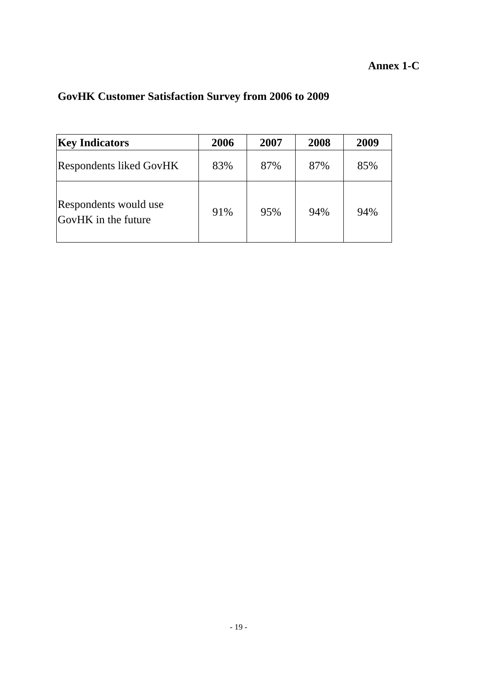| <b>Key Indicators</b>                        | 2006 | 2007 | 2008 | 2009 |
|----------------------------------------------|------|------|------|------|
| <b>Respondents liked GovHK</b>               | 83%  | 87%  | 87%  | 85%  |
| Respondents would use<br>GovHK in the future | 91%  | 95%  | 94%  | 94%  |

# **GovHK Customer Satisfaction Survey from 2006 to 2009**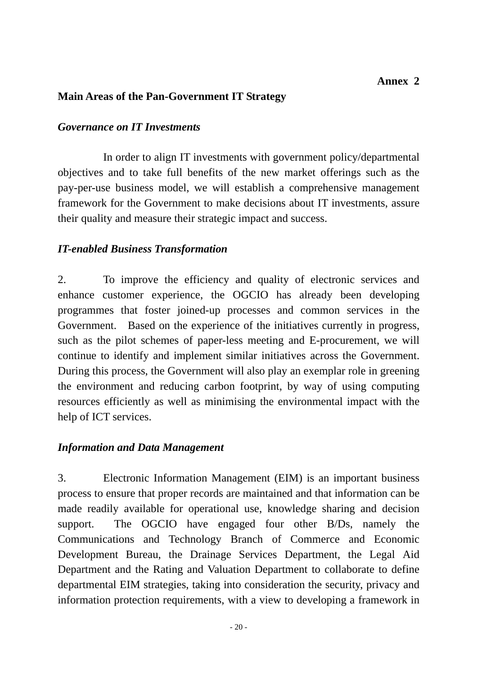#### **Main Areas of the Pan-Government IT Strategy**

#### *Governance on IT Investments*

 In order to align IT investments with government policy/departmental objectives and to take full benefits of the new market offerings such as the pay-per-use business model, we will establish a comprehensive management framework for the Government to make decisions about IT investments, assure their quality and measure their strategic impact and success.

#### *IT-enabled Business Transformation*

2. To improve the efficiency and quality of electronic services and enhance customer experience, the OGCIO has already been developing programmes that foster joined-up processes and common services in the Government. Based on the experience of the initiatives currently in progress, such as the pilot schemes of paper-less meeting and E-procurement, we will continue to identify and implement similar initiatives across the Government. During this process, the Government will also play an exemplar role in greening the environment and reducing carbon footprint, by way of using computing resources efficiently as well as minimising the environmental impact with the help of ICT services.

#### *Information and Data Management*

3. Electronic Information Management (EIM) is an important business process to ensure that proper records are maintained and that information can be made readily available for operational use, knowledge sharing and decision support. The OGCIO have engaged four other B/Ds, namely the Communications and Technology Branch of Commerce and Economic Development Bureau, the Drainage Services Department, the Legal Aid Department and the Rating and Valuation Department to collaborate to define departmental EIM strategies, taking into consideration the security, privacy and information protection requirements, with a view to developing a framework in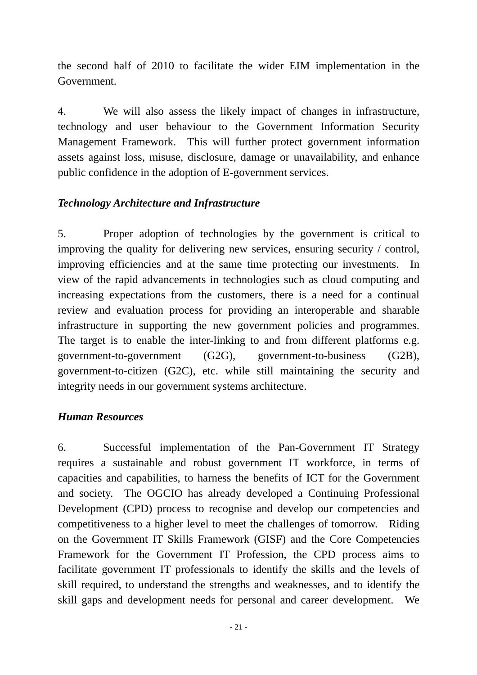the second half of 2010 to facilitate the wider EIM implementation in the Government.

4. We will also assess the likely impact of changes in infrastructure, technology and user behaviour to the Government Information Security Management Framework. This will further protect government information assets against loss, misuse, disclosure, damage or unavailability, and enhance public confidence in the adoption of E-government services.

#### *Technology Architecture and Infrastructure*

5. Proper adoption of technologies by the government is critical to improving the quality for delivering new services, ensuring security / control, improving efficiencies and at the same time protecting our investments. In view of the rapid advancements in technologies such as cloud computing and increasing expectations from the customers, there is a need for a continual review and evaluation process for providing an interoperable and sharable infrastructure in supporting the new government policies and programmes. The target is to enable the inter-linking to and from different platforms e.g. government-to-government (G2G), government-to-business (G2B), government-to-citizen (G2C), etc. while still maintaining the security and integrity needs in our government systems architecture.

#### *Human Resources*

6. Successful implementation of the Pan-Government IT Strategy requires a sustainable and robust government IT workforce, in terms of capacities and capabilities, to harness the benefits of ICT for the Government and society. The OGCIO has already developed a Continuing Professional Development (CPD) process to recognise and develop our competencies and competitiveness to a higher level to meet the challenges of tomorrow. Riding on the Government IT Skills Framework (GISF) and the Core Competencies Framework for the Government IT Profession, the CPD process aims to facilitate government IT professionals to identify the skills and the levels of skill required, to understand the strengths and weaknesses, and to identify the skill gaps and development needs for personal and career development. We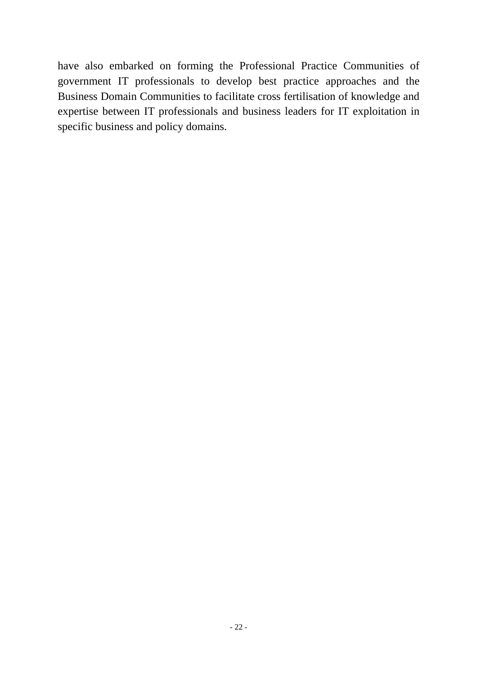have also embarked on forming the Professional Practice Communities of government IT professionals to develop best practice approaches and the Business Domain Communities to facilitate cross fertilisation of knowledge and expertise between IT professionals and business leaders for IT exploitation in specific business and policy domains.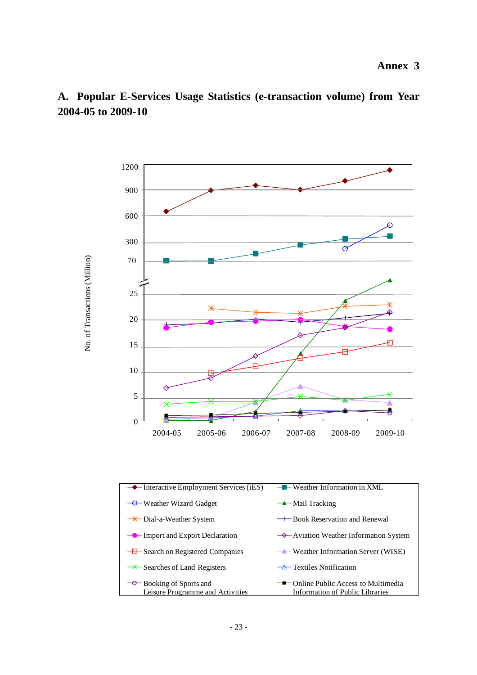

### **A. Popular E-Services Usage Statistics (e-transaction volume) from Year 2004-05 to 2009-10**

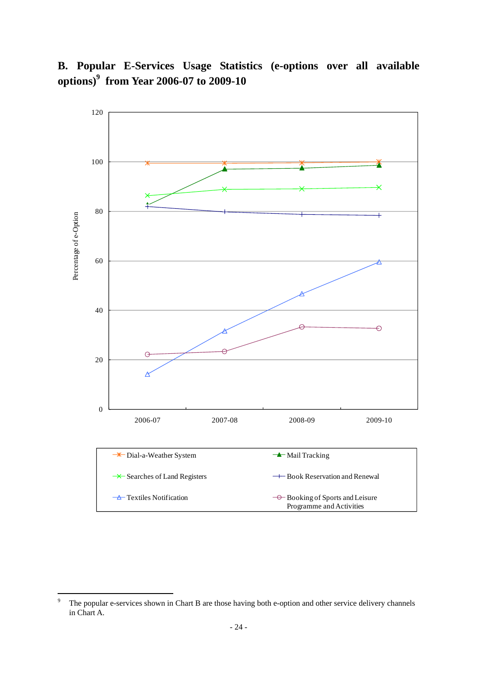**B. Popular E-Services Usage Statistics (e-options over all available options)9 from Year 2006-07 to 2009-10** 



<sup>-&</sup>lt;br>9 The popular e-services shown in Chart B are those having both e-option and other service delivery channels in Chart A.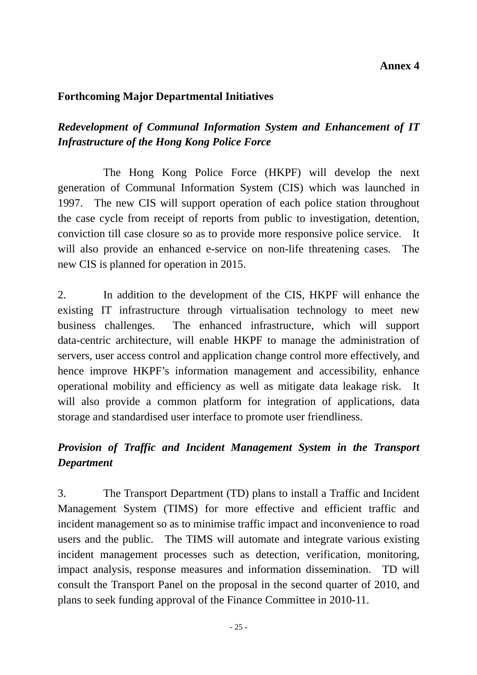#### **Annex 4**

#### **Forthcoming Major Departmental Initiatives**

## *Redevelopment of Communal Information System and Enhancement of IT Infrastructure of the Hong Kong Police Force*

 The Hong Kong Police Force (HKPF) will develop the next generation of Communal Information System (CIS) which was launched in 1997. The new CIS will support operation of each police station throughout the case cycle from receipt of reports from public to investigation, detention, conviction till case closure so as to provide more responsive police service. It will also provide an enhanced e-service on non-life threatening cases. The new CIS is planned for operation in 2015.

2. In addition to the development of the CIS, HKPF will enhance the existing IT infrastructure through virtualisation technology to meet new business challenges. The enhanced infrastructure, which will support data-centric architecture, will enable HKPF to manage the administration of servers, user access control and application change control more effectively, and hence improve HKPF's information management and accessibility, enhance operational mobility and efficiency as well as mitigate data leakage risk. It will also provide a common platform for integration of applications, data storage and standardised user interface to promote user friendliness.

## *Provision of Traffic and Incident Management System in the Transport Department*

3. The Transport Department (TD) plans to install a Traffic and Incident Management System (TIMS) for more effective and efficient traffic and incident management so as to minimise traffic impact and inconvenience to road users and the public. The TIMS will automate and integrate various existing incident management processes such as detection, verification, monitoring, impact analysis, response measures and information dissemination. TD will consult the Transport Panel on the proposal in the second quarter of 2010, and plans to seek funding approval of the Finance Committee in 2010-11.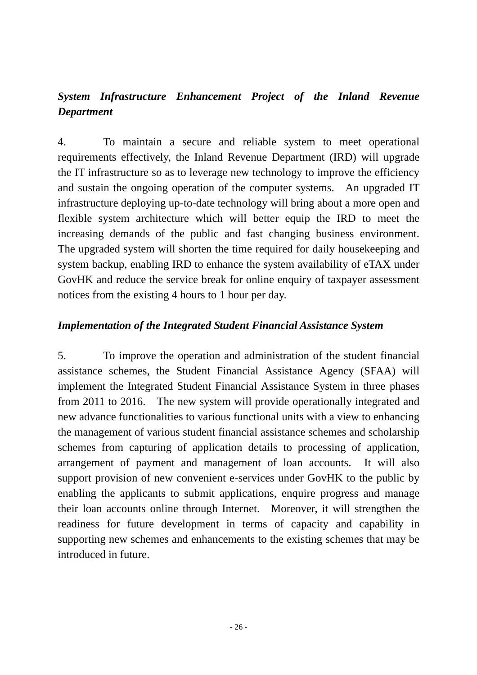## *System Infrastructure Enhancement Project of the Inland Revenue Department*

4. To maintain a secure and reliable system to meet operational requirements effectively, the Inland Revenue Department (IRD) will upgrade the IT infrastructure so as to leverage new technology to improve the efficiency and sustain the ongoing operation of the computer systems. An upgraded IT infrastructure deploying up-to-date technology will bring about a more open and flexible system architecture which will better equip the IRD to meet the increasing demands of the public and fast changing business environment. The upgraded system will shorten the time required for daily housekeeping and system backup, enabling IRD to enhance the system availability of eTAX under GovHK and reduce the service break for online enquiry of taxpayer assessment notices from the existing 4 hours to 1 hour per day.

#### *Implementation of the Integrated Student Financial Assistance System*

5. To improve the operation and administration of the student financial assistance schemes, the Student Financial Assistance Agency (SFAA) will implement the Integrated Student Financial Assistance System in three phases from 2011 to 2016. The new system will provide operationally integrated and new advance functionalities to various functional units with a view to enhancing the management of various student financial assistance schemes and scholarship schemes from capturing of application details to processing of application, arrangement of payment and management of loan accounts. It will also support provision of new convenient e-services under GovHK to the public by enabling the applicants to submit applications, enquire progress and manage their loan accounts online through Internet. Moreover, it will strengthen the readiness for future development in terms of capacity and capability in supporting new schemes and enhancements to the existing schemes that may be introduced in future.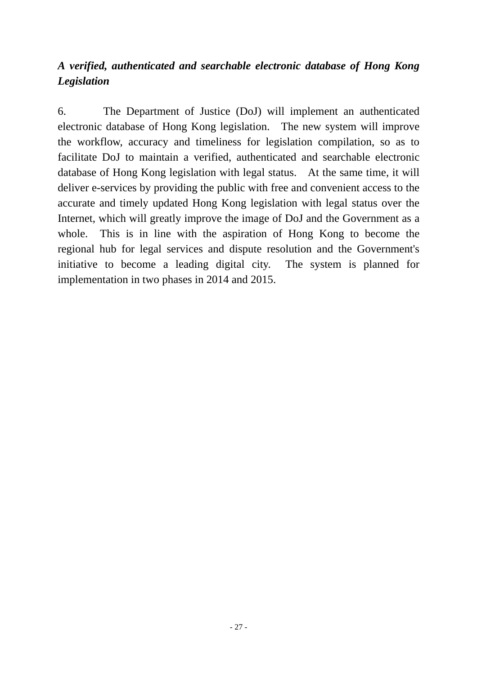## *A verified, authenticated and searchable electronic database of Hong Kong Legislation*

6. The Department of Justice (DoJ) will implement an authenticated electronic database of Hong Kong legislation. The new system will improve the workflow, accuracy and timeliness for legislation compilation, so as to facilitate DoJ to maintain a verified, authenticated and searchable electronic database of Hong Kong legislation with legal status. At the same time, it will deliver e-services by providing the public with free and convenient access to the accurate and timely updated Hong Kong legislation with legal status over the Internet, which will greatly improve the image of DoJ and the Government as a whole. This is in line with the aspiration of Hong Kong to become the regional hub for legal services and dispute resolution and the Government's initiative to become a leading digital city. The system is planned for implementation in two phases in 2014 and 2015.